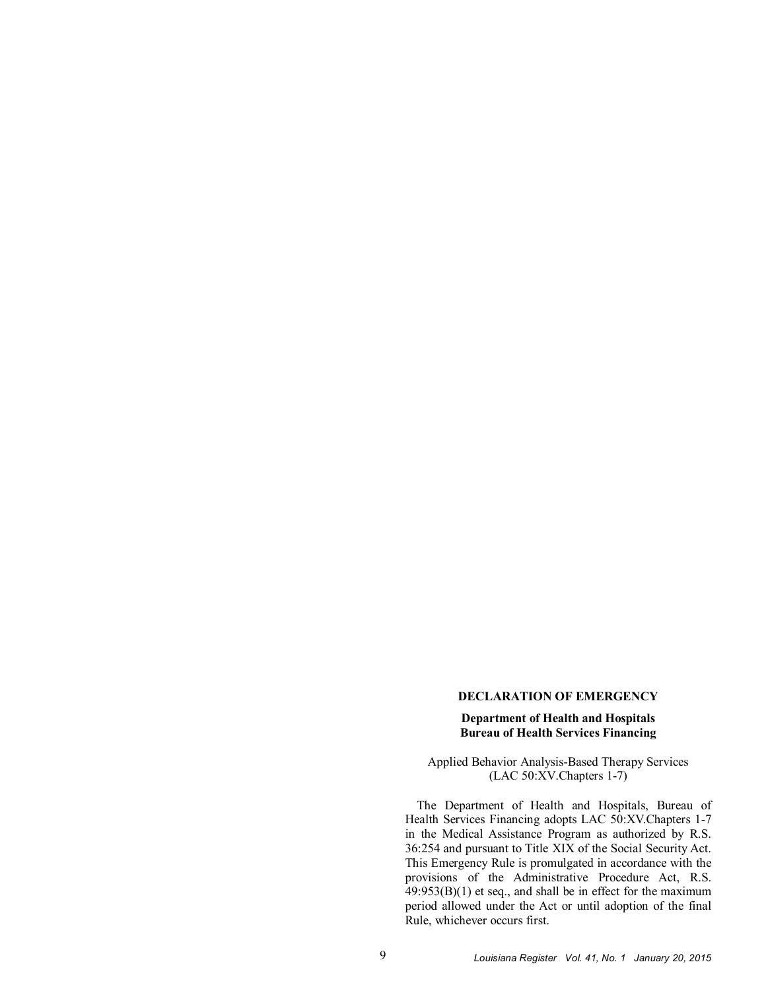## **DECLARATION OF EMERGENCY**

## **Department of Health and Hospitals Bureau of Health Services Financing**

Applied Behavior Analysis-Based Therapy Services (LAC 50:XV.Chapters 1-7)

The Department of Health and Hospitals, Bureau of Health Services Financing adopts LAC 50:XV.Chapters 1-7 in the Medical Assistance Program as authorized by R.S. 36:254 and pursuant to Title XIX of the Social Security Act. This Emergency Rule is promulgated in accordance with the provisions of the Administrative Procedure Act, R.S. 49:953(B)(1) et seq., and shall be in effect for the maximum period allowed under the Act or until adoption of the final Rule, whichever occurs first.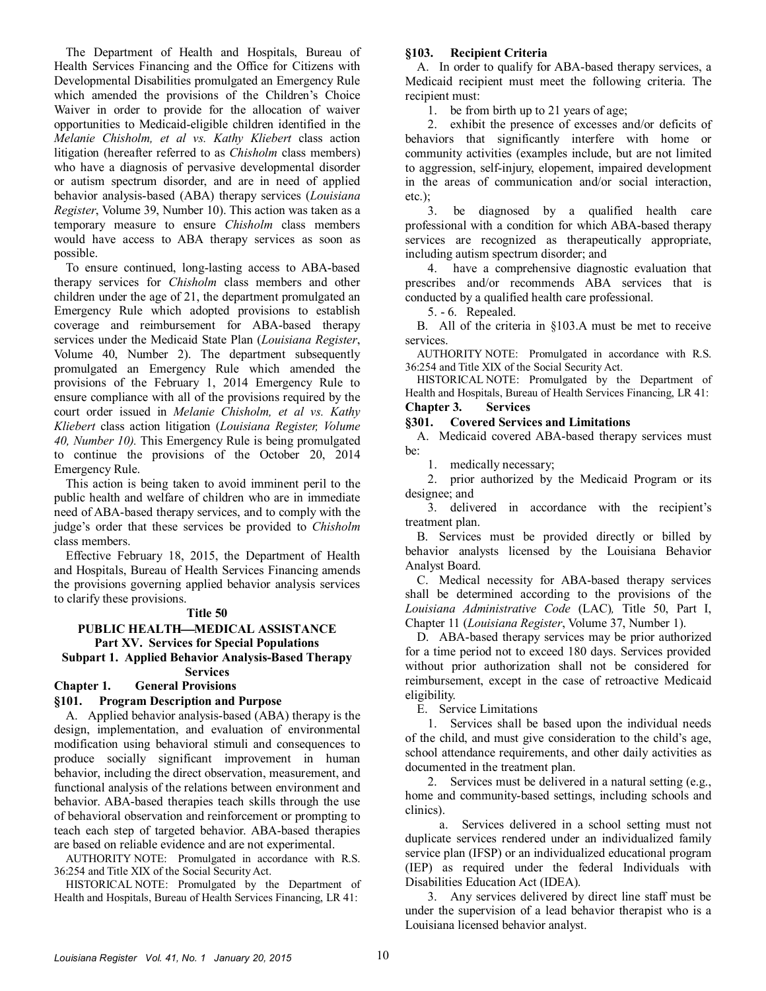The Department of Health and Hospitals, Bureau of Health Services Financing and the Office for Citizens with Developmental Disabilities promulgated an Emergency Rule which amended the provisions of the Children's Choice Waiver in order to provide for the allocation of waiver opportunities to Medicaid-eligible children identified in the *Melanie Chisholm, et al vs. Kathy Kliebert* class action litigation (hereafter referred to as *Chisholm* class members) who have a diagnosis of pervasive developmental disorder or autism spectrum disorder, and are in need of applied behavior analysis-based (ABA) therapy services (*Louisiana Register*, Volume 39, Number 10). This action was taken as a temporary measure to ensure *Chisholm* class members would have access to ABA therapy services as soon as possible.

To ensure continued, long-lasting access to ABA-based therapy services for *Chisholm* class members and other children under the age of 21, the department promulgated an Emergency Rule which adopted provisions to establish coverage and reimbursement for ABA-based therapy services under the Medicaid State Plan (*Louisiana Register*, Volume 40, Number 2). The department subsequently promulgated an Emergency Rule which amended the provisions of the February 1, 2014 Emergency Rule to ensure compliance with all of the provisions required by the court order issued in *Melanie Chisholm, et al vs. Kathy Kliebert* class action litigation (*Louisiana Register, Volume 40, Number 10).* This Emergency Rule is being promulgated to continue the provisions of the October 20, 2014 Emergency Rule.

This action is being taken to avoid imminent peril to the public health and welfare of children who are in immediate need of ABA-based therapy services, and to comply with the judge's order that these services be provided to *Chisholm*  class members.

Effective February 18, 2015, the Department of Health and Hospitals, Bureau of Health Services Financing amends the provisions governing applied behavior analysis services to clarify these provisions.

## **Title 50**

## **PUBLIC HEALTHMEDICAL ASSISTANCE Part XV. Services for Special Populations Subpart 1. Applied Behavior Analysis-Based Therapy**

#### **Services**

# **Chapter 1. General Provisions**

## **§101. Program Description and Purpose**

A. Applied behavior analysis-based (ABA) therapy is the design, implementation, and evaluation of environmental modification using behavioral stimuli and consequences to produce socially significant improvement in human behavior, including the direct observation, measurement, and functional analysis of the relations between environment and behavior. ABA-based therapies teach skills through the use of behavioral observation and reinforcement or prompting to teach each step of targeted behavior. ABA-based therapies are based on reliable evidence and are not experimental.

AUTHORITY NOTE: Promulgated in accordance with R.S. 36:254 and Title XIX of the Social Security Act.

HISTORICAL NOTE: Promulgated by the Department of Health and Hospitals, Bureau of Health Services Financing, LR 41:

#### **§103. Recipient Criteria**

A. In order to qualify for ABA-based therapy services, a Medicaid recipient must meet the following criteria. The recipient must:

1. be from birth up to 21 years of age;

2. exhibit the presence of excesses and/or deficits of behaviors that significantly interfere with home or community activities (examples include, but are not limited to aggression, self-injury, elopement, impaired development in the areas of communication and/or social interaction,  $etc.$ );

3. be diagnosed by a qualified health care professional with a condition for which ABA-based therapy services are recognized as therapeutically appropriate, including autism spectrum disorder; and

4. have a comprehensive diagnostic evaluation that prescribes and/or recommends ABA services that is conducted by a qualified health care professional.

5. - 6. Repealed.

B. All of the criteria in §103.A must be met to receive services.

AUTHORITY NOTE: Promulgated in accordance with R.S. 36:254 and Title XIX of the Social Security Act.

HISTORICAL NOTE: Promulgated by the Department of Health and Hospitals, Bureau of Health Services Financing, LR 41: **Chapter 3. Services**

#### **§301. Covered Services and Limitations**

A. Medicaid covered ABA-based therapy services must be:

1. medically necessary;

2. prior authorized by the Medicaid Program or its designee; and

3. delivered in accordance with the recipient's treatment plan.

B. Services must be provided directly or billed by behavior analysts licensed by the Louisiana Behavior Analyst Board.

C. Medical necessity for ABA-based therapy services shall be determined according to the provisions of the *Louisiana Administrative Code* (LAC)*,* Title 50, Part I, Chapter 11 (*Louisiana Register*, Volume 37, Number 1).

D. ABA-based therapy services may be prior authorized for a time period not to exceed 180 days. Services provided without prior authorization shall not be considered for reimbursement, except in the case of retroactive Medicaid eligibility.

E. Service Limitations

1. Services shall be based upon the individual needs of the child, and must give consideration to the child's age, school attendance requirements, and other daily activities as documented in the treatment plan.

2. Services must be delivered in a natural setting (e.g., home and community-based settings, including schools and clinics).

a. Services delivered in a school setting must not duplicate services rendered under an individualized family service plan (IFSP) or an individualized educational program (IEP) as required under the federal Individuals with Disabilities Education Act (IDEA).

3. Any services delivered by direct line staff must be under the supervision of a lead behavior therapist who is a Louisiana licensed behavior analyst.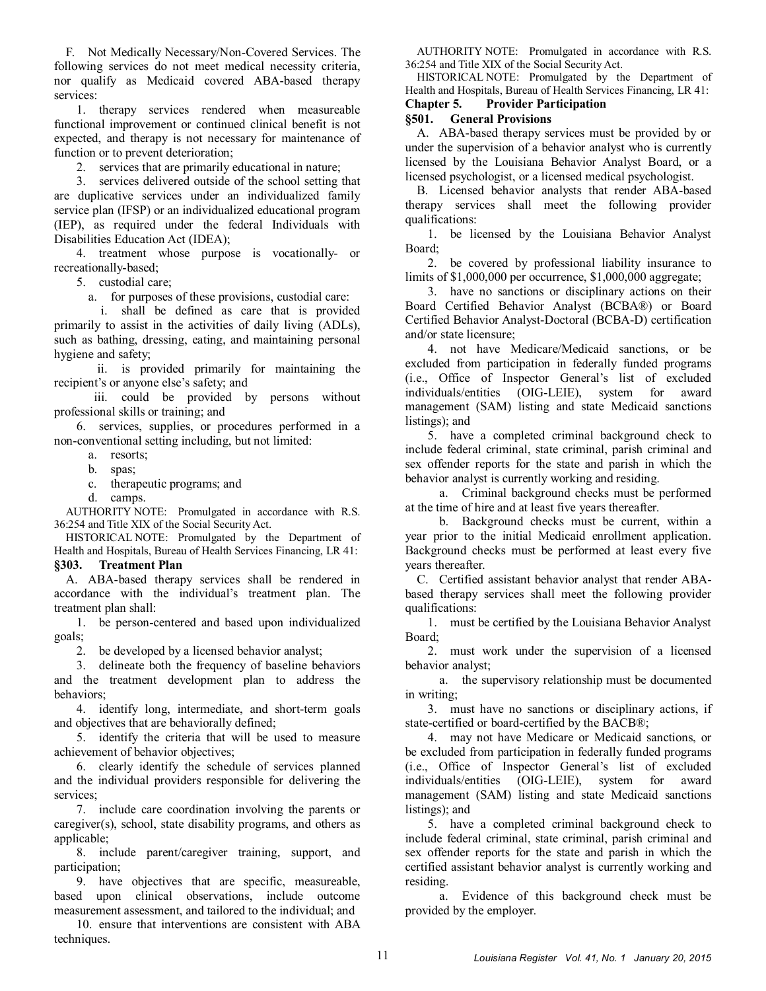F. Not Medically Necessary/Non-Covered Services. The following services do not meet medical necessity criteria, nor qualify as Medicaid covered ABA-based therapy services:

1. therapy services rendered when measureable functional improvement or continued clinical benefit is not expected, and therapy is not necessary for maintenance of function or to prevent deterioration;

2. services that are primarily educational in nature;

3. services delivered outside of the school setting that are duplicative services under an individualized family service plan (IFSP) or an individualized educational program (IEP), as required under the federal Individuals with Disabilities Education Act (IDEA);

4. treatment whose purpose is vocationally- or recreationally-based;

5. custodial care;

a. for purposes of these provisions, custodial care:

i. shall be defined as care that is provided primarily to assist in the activities of daily living (ADLs), such as bathing, dressing, eating, and maintaining personal hygiene and safety;

ii. is provided primarily for maintaining the recipient's or anyone else's safety; and

iii. could be provided by persons without professional skills or training; and

6. services, supplies, or procedures performed in a non-conventional setting including, but not limited:

a. resorts;

b. spas;

c. therapeutic programs; and

d. camps.

AUTHORITY NOTE: Promulgated in accordance with R.S. 36:254 and Title XIX of the Social Security Act.

HISTORICAL NOTE: Promulgated by the Department of Health and Hospitals, Bureau of Health Services Financing, LR 41:

# **§303. Treatment Plan**

A. ABA-based therapy services shall be rendered in accordance with the individual's treatment plan. The treatment plan shall:

1. be person-centered and based upon individualized goals;

2. be developed by a licensed behavior analyst;

3. delineate both the frequency of baseline behaviors and the treatment development plan to address the behaviors;

4. identify long, intermediate, and short-term goals and objectives that are behaviorally defined;

5. identify the criteria that will be used to measure achievement of behavior objectives;

6. clearly identify the schedule of services planned and the individual providers responsible for delivering the services;

7. include care coordination involving the parents or caregiver(s), school, state disability programs, and others as applicable;

8. include parent/caregiver training, support, and participation;

9. have objectives that are specific, measureable, based upon clinical observations, include outcome measurement assessment, and tailored to the individual; and

10. ensure that interventions are consistent with ABA techniques.

AUTHORITY NOTE: Promulgated in accordance with R.S. 36:254 and Title XIX of the Social Security Act.

HISTORICAL NOTE: Promulgated by the Department of Health and Hospitals, Bureau of Health Services Financing, LR 41:

# **Chapter 5. Provider Participation**

## **§501. General Provisions**

A. ABA-based therapy services must be provided by or under the supervision of a behavior analyst who is currently licensed by the Louisiana Behavior Analyst Board, or a licensed psychologist, or a licensed medical psychologist.

B. Licensed behavior analysts that render ABA-based therapy services shall meet the following provider qualifications:

1. be licensed by the Louisiana Behavior Analyst Board;

2. be covered by professional liability insurance to limits of \$1,000,000 per occurrence, \$1,000,000 aggregate;

3. have no sanctions or disciplinary actions on their Board Certified Behavior Analyst (BCBA®) or Board Certified Behavior Analyst-Doctoral (BCBA-D) certification and/or state licensure;

4. not have Medicare/Medicaid sanctions, or be excluded from participation in federally funded programs (i.e., Office of Inspector General's list of excluded individuals/entities (OIG-LEIE), system for award management (SAM) listing and state Medicaid sanctions listings); and

5. have a completed criminal background check to include federal criminal, state criminal, parish criminal and sex offender reports for the state and parish in which the behavior analyst is currently working and residing.

a. Criminal background checks must be performed at the time of hire and at least five years thereafter.

b. Background checks must be current, within a year prior to the initial Medicaid enrollment application. Background checks must be performed at least every five years thereafter.

C. Certified assistant behavior analyst that render ABAbased therapy services shall meet the following provider qualifications:

1. must be certified by the Louisiana Behavior Analyst Board;

2. must work under the supervision of a licensed behavior analyst;

a. the supervisory relationship must be documented in writing;

3. must have no sanctions or disciplinary actions, if state-certified or board-certified by the BACB®;

4. may not have Medicare or Medicaid sanctions, or be excluded from participation in federally funded programs (i.e., Office of Inspector General's list of excluded individuals/entities (OIG-LEIE), system for award management (SAM) listing and state Medicaid sanctions listings); and

5. have a completed criminal background check to include federal criminal, state criminal, parish criminal and sex offender reports for the state and parish in which the certified assistant behavior analyst is currently working and residing.

a. Evidence of this background check must be provided by the employer.